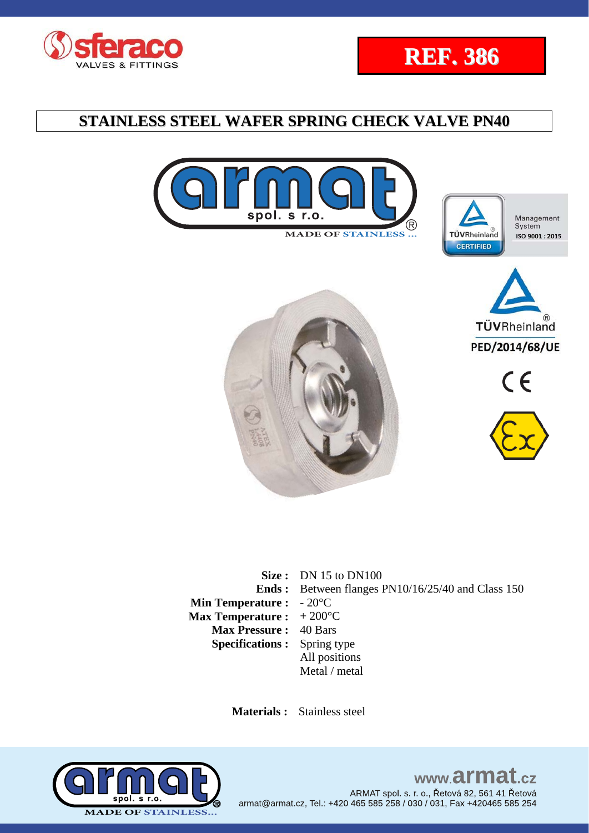















**Size :** DN 15 to DN100 **Ends : Min Temperature :**  - 20°C **Max Temperature :**  Between flanges PN10/16/25/40 and Class 150  $+200^{\circ}$ C **Max Pressure :** 40 Bars **Specifications :** Spring type All positions Metal / metal

 **Materials :** Stainless steel



www.armat.cz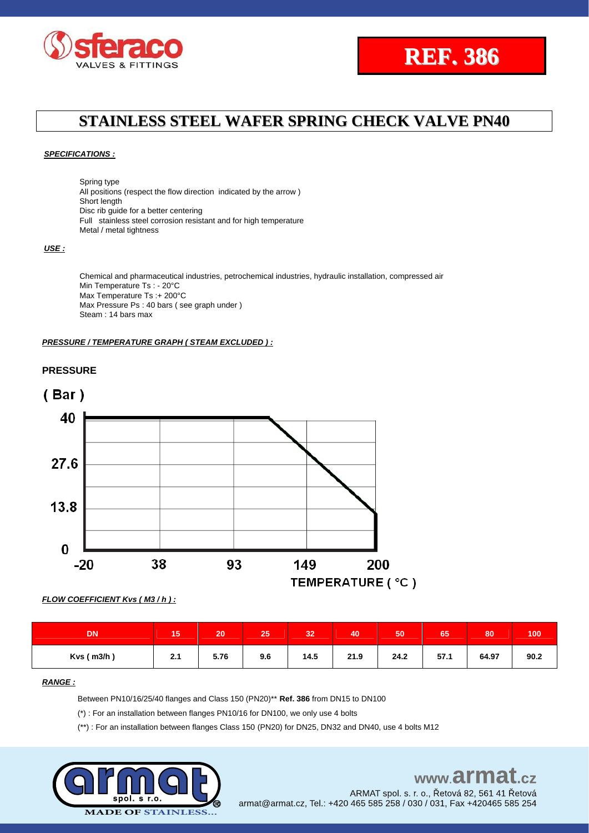



#### *SPECIFICATIONS :*

Spring type All positions (respect the flow direction indicated by the arrow ) Short length Disc rib guide for a better centering Full stainless steel corrosion resistant and for high temperature Metal / metal tightness

#### *USE :*

Chemical and pharmaceutical industries, petrochemical industries, hydraulic installation, compressed air Min Temperature Ts : - 20°C Max Temperature Ts :+ 200°C Max Pressure Ps : 40 bars ( see graph under ) Steam : 14 bars max

#### *PRESSURE / TEMPERATURE GRAPH ( STEAM EXCLUDED ) :*







| <b>DN</b>        | <b>A 12</b><br>15 | 20   | 25  | 32   | 40   | 50   | $\sim$ $\sim$<br>65 | 80    | 100  |
|------------------|-------------------|------|-----|------|------|------|---------------------|-------|------|
| $Kvs$ ( $m3/h$ ) | 2.1               | 5.76 | 9.6 | 14.5 | 21.9 | 24.2 | 57.1                | 64.97 | 90.2 |

#### *RANGE :*

Between PN10/16/25/40 flanges and Class 150 (PN20)\*\* **Ref. 386** from DN15 to DN100

(\*) : For an installation between flanges PN10/16 for DN100, we only use 4 bolts

(\*\*) : For an installation between flanges Class 150 (PN20) for DN25, DN32 and DN40, use 4 bolts M12



# www.armat.cz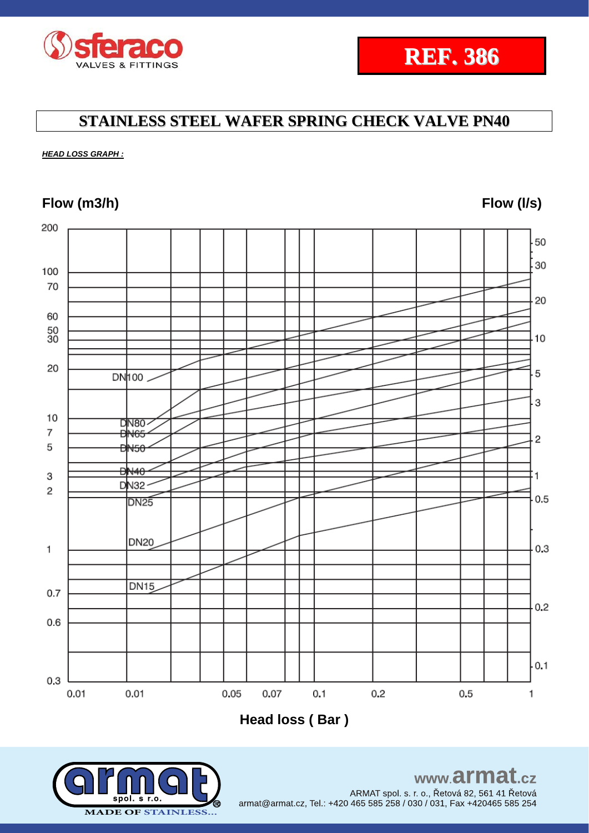

*HEAD LOSS GRAPH :*

## **Flow (m3/h) Flow (l/s)**



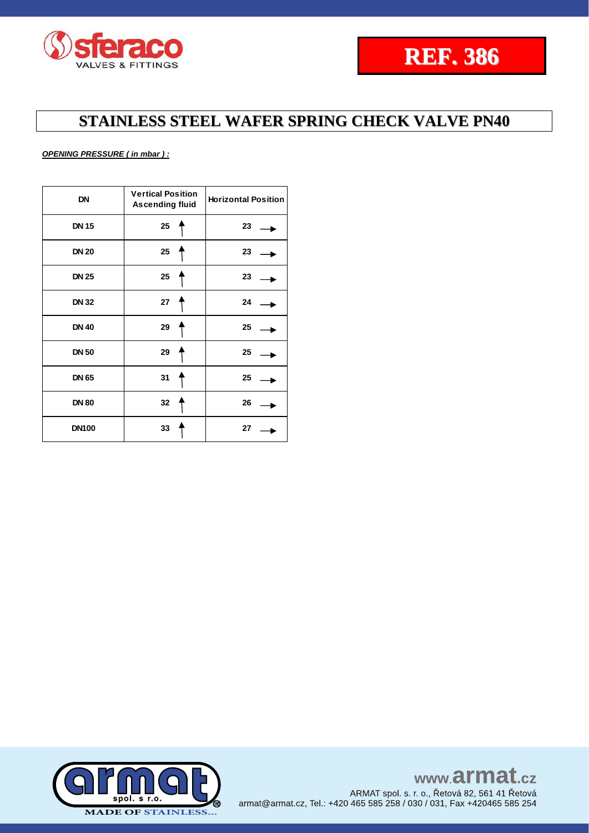

### *OPENING PRESSURE ( in mbar ) :*

| <b>DN</b>    | <b>Vertical Position</b><br><b>Ascending fluid</b> | <b>Horizontal Position</b> |  |  |
|--------------|----------------------------------------------------|----------------------------|--|--|
| <b>DN 15</b> | 25                                                 | 23                         |  |  |
| <b>DN 20</b> | 25                                                 | 23                         |  |  |
| <b>DN 25</b> | 25                                                 | 23                         |  |  |
| <b>DN 32</b> | 27                                                 | 24                         |  |  |
| <b>DN 40</b> | 29                                                 | 25                         |  |  |
| <b>DN 50</b> | 29                                                 | 25                         |  |  |
| <b>DN 65</b> | 31                                                 | 25                         |  |  |
| <b>DN 80</b> | 32                                                 | 26                         |  |  |
| <b>DN100</b> | 33                                                 | 27                         |  |  |

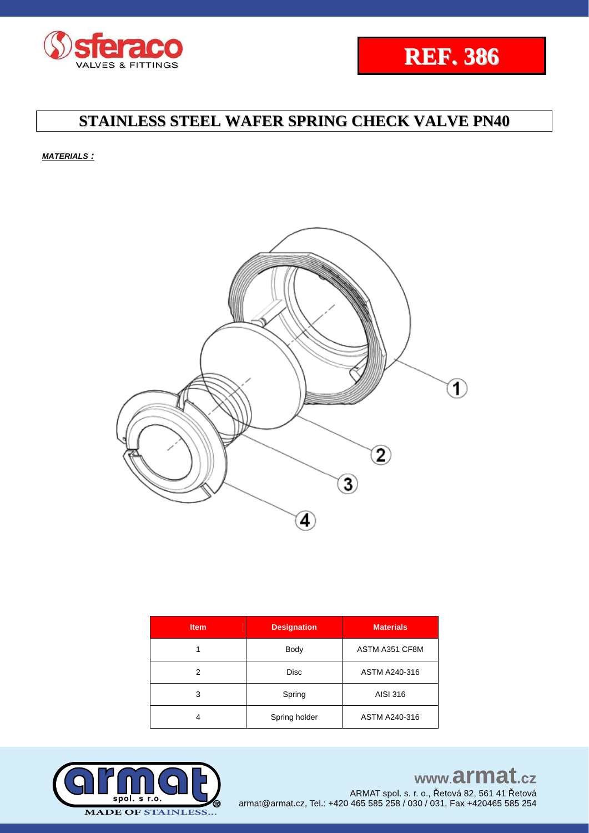



*MATERIALS :*



| <b>Item</b> | <b>Designation</b> | <b>Materials</b> |  |  |  |
|-------------|--------------------|------------------|--|--|--|
|             | <b>Body</b>        | ASTM A351 CF8M   |  |  |  |
| 2           | <b>Disc</b>        | ASTM A240-316    |  |  |  |
| 3           | Spring             | AISI 316         |  |  |  |
| 4           | Spring holder      | ASTM A240-316    |  |  |  |



# www.armat.cz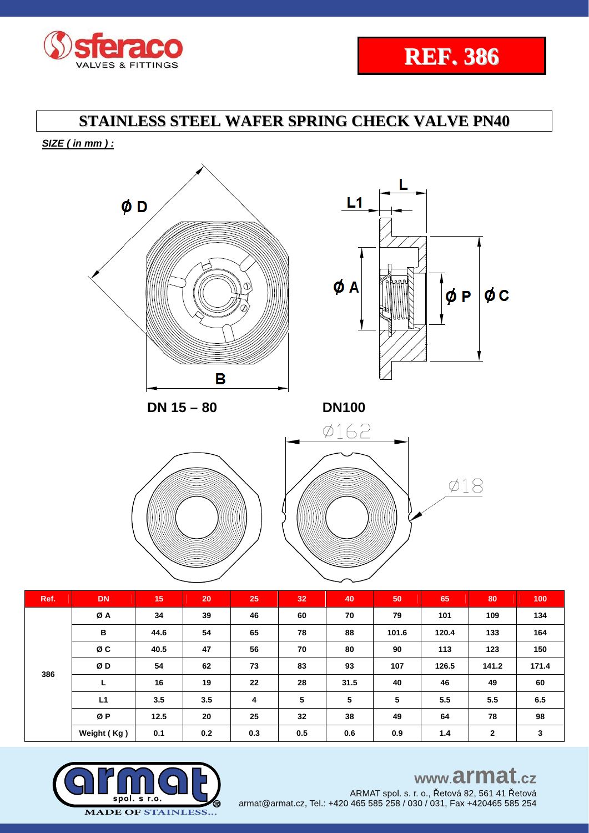

*SIZE ( in mm ) :* 





 **DN 15 – 80 DN100**





| Ref. | <b>DN</b>   | 15   | 20  | 25  | 32 <sub>2</sub> | 40   | 50    | 65    | 80           | 100   |
|------|-------------|------|-----|-----|-----------------|------|-------|-------|--------------|-------|
| 386  | ØA          | 34   | 39  | 46  | 60              | 70   | 79    | 101   | 109          | 134   |
|      | в           | 44.6 | 54  | 65  | 78              | 88   | 101.6 | 120.4 | 133          | 164   |
|      | ØC          | 40.5 | 47  | 56  | 70              | 80   | 90    | 113   | 123          | 150   |
|      | ØD          | 54   | 62  | 73  | 83              | 93   | 107   | 126.5 | 141.2        | 171.4 |
|      | L           | 16   | 19  | 22  | 28              | 31.5 | 40    | 46    | 49           | 60    |
|      | L1          | 3.5  | 3.5 | 4   | 5               | 5    | 5     | 5.5   | 5.5          | 6.5   |
|      | ØP          | 12.5 | 20  | 25  | 32              | 38   | 49    | 64    | 78           | 98    |
|      | Weight (Kg) | 0.1  | 0.2 | 0.3 | 0.5             | 0.6  | 0.9   | 1.4   | $\mathbf{2}$ | 3     |



# www.armat.cz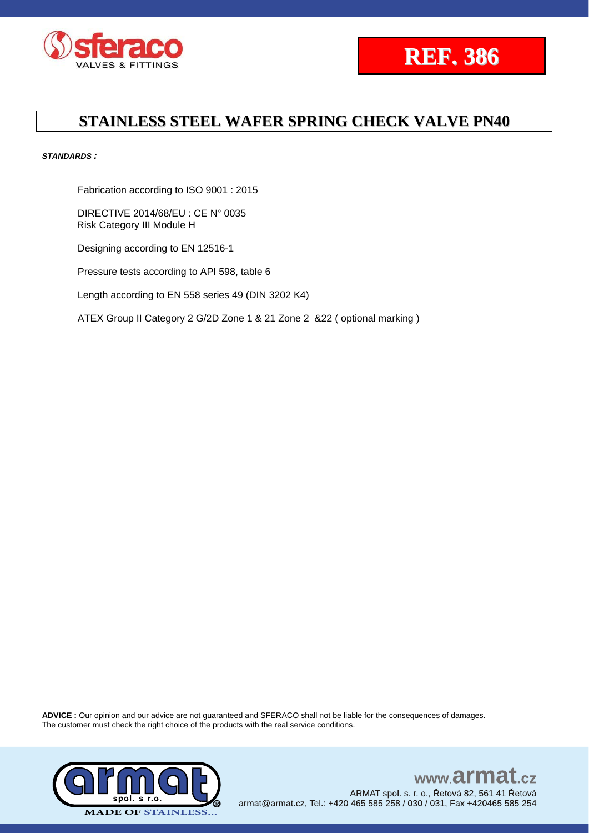



#### *STANDARDS :*

Fabrication according to ISO 9001 : 2015

DIRECTIVE 2014/68/EU : CE N° 0035 Risk Category III Module H

Designing according to EN 12516-1

Pressure tests according to API 598, table 6

Length according to EN 558 series 49 (DIN 3202 K4)

ATEX Group II Category 2 G/2D Zone 1 & 21 Zone 2 &22 ( optional marking )

**ADVICE :** Our opinion and our advice are not guaranteed and SFERACO shall not be liable for the consequences of damages. The customer must check the right choice of the products with the real service conditions.

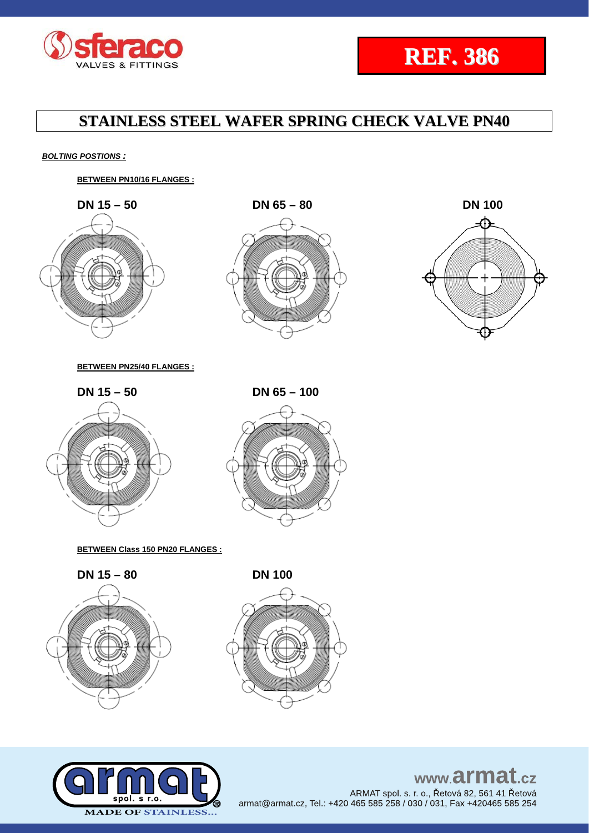



*BOLTING POSTIONS :*

**BETWEEN PN10/16 FLANGES :**



**BETWEEN PN25/40 FLANGES :**





### **BETWEEN Class 150 PN20 FLANGES :**